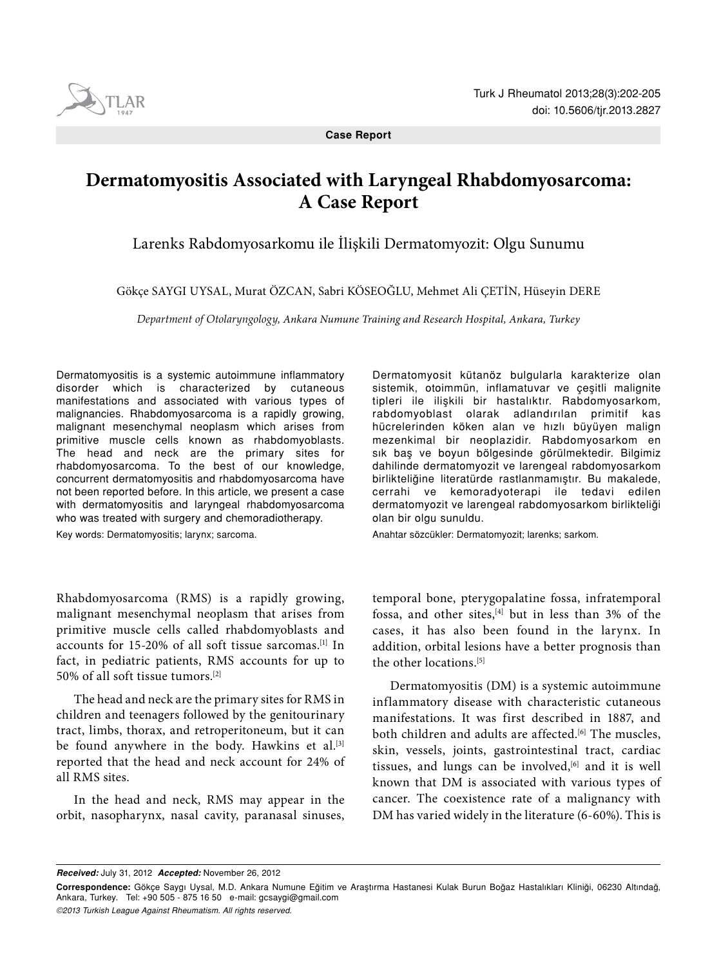

**Case Report**

# **Dermatomyositis Associated with Laryngeal Rhabdomyosarcoma: A Case Report**

Larenks Rabdomyosarkomu ile İlişkili Dermatomyozit: Olgu Sunumu

Gökçe Saygı UYSAL, Murat ÖZCAN, Sabri KÖSEOĞLU, Mehmet Ali ÇETİN, Hüseyin DERE

*Department of Otolaryngology, Ankara Numune Training and Research Hospital, Ankara, Turkey*

Dermatomyositis is a systemic autoimmune inflammatory disorder which is characterized by cutaneous manifestations and associated with various types of malignancies. Rhabdomyosarcoma is a rapidly growing, malignant mesenchymal neoplasm which arises from primitive muscle cells known as rhabdomyoblasts. The head and neck are the primary sites for rhabdomyosarcoma. To the best of our knowledge, concurrent dermatomyositis and rhabdomyosarcoma have not been reported before. In this article, we present a case with dermatomyositis and laryngeal rhabdomyosarcoma who was treated with surgery and chemoradiotherapy.

Key words: Dermatomyositis; larynx; sarcoma.

Dermatomyosit kütanöz bulgularla karakterize olan sistemik, otoimmün, inflamatuvar ve çeşitli malignite tipleri ile ilişkili bir hastalıktır. Rabdomyosarkom, rabdomyoblast olarak adlandırılan primitif kas hücrelerinden köken alan ve hızlı büyüyen malign mezenkimal bir neoplazidir. Rabdomyosarkom en sık baş ve boyun bölgesinde görülmektedir. Bilgimiz dahilinde dermatomyozit ve larengeal rabdomyosarkom birlikteliğine literatürde rastlanmamıştır. Bu makalede, cerrahi ve kemoradyoterapi ile tedavi edilen dermatomyozit ve larengeal rabdomyosarkom birlikteliği olan bir olgu sunuldu.

Anahtar sözcükler: Dermatomyozit; larenks; sarkom.

Rhabdomyosarcoma (RMS) is a rapidly growing, malignant mesenchymal neoplasm that arises from primitive muscle cells called rhabdomyoblasts and accounts for 15-20% of all soft tissue sarcomas.[1] In fact, in pediatric patients, RMS accounts for up to 50% of all soft tissue tumors.[2]

The head and neck are the primary sites for RMS in children and teenagers followed by the genitourinary tract, limbs, thorax, and retroperitoneum, but it can be found anywhere in the body. Hawkins et al. $[3]$ reported that the head and neck account for 24% of all RMS sites.

In the head and neck, RMS may appear in the orbit, nasopharynx, nasal cavity, paranasal sinuses,

temporal bone, pterygopalatine fossa, infratemporal fossa, and other sites, $[4]$  but in less than 3% of the cases, it has also been found in the larynx. In addition, orbital lesions have a better prognosis than the other locations.[5]

Dermatomyositis (DM) is a systemic autoimmune inflammatory disease with characteristic cutaneous manifestations. It was first described in 1887, and both children and adults are affected.<sup>[6]</sup> The muscles, skin, vessels, joints, gastrointestinal tract, cardiac tissues, and lungs can be involved,<sup>[6]</sup> and it is well known that DM is associated with various types of cancer. The coexistence rate of a malignancy with DM has varied widely in the literature (6-60%). This is

*Received:* July 31, 2012 *Accepted:* November 26, 2012

**Correspondence:** Gökçe Saygı Uysal, M.D. Ankara Numune Eğitim ve Araştırma Hastanesi Kulak Burun Boğaz Hastalıkları Kliniği, 06230 Altındağ, Ankara, Turkey. Tel: +90 505 - 875 16 50 e-mail: gcsaygi@gmail.com *©2013 Turkish League Against Rheumatism. All rights reserved.*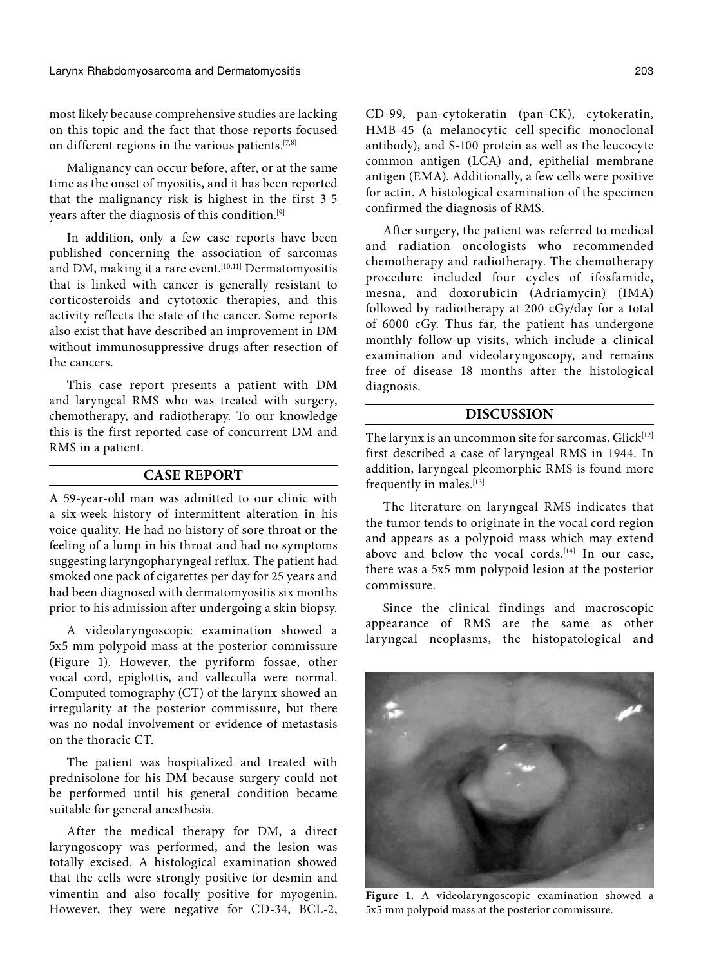most likely because comprehensive studies are lacking on this topic and the fact that those reports focused on different regions in the various patients.[7,8]

Malignancy can occur before, after, or at the same time as the onset of myositis, and it has been reported that the malignancy risk is highest in the first 3-5 years after the diagnosis of this condition.[9]

In addition, only a few case reports have been published concerning the association of sarcomas and DM, making it a rare event.<sup>[10,11]</sup> Dermatomyositis that is linked with cancer is generally resistant to corticosteroids and cytotoxic therapies, and this activity reflects the state of the cancer. Some reports also exist that have described an improvement in DM without immunosuppressive drugs after resection of the cancers.

This case report presents a patient with DM and laryngeal RMS who was treated with surgery, chemotherapy, and radiotherapy. To our knowledge this is the first reported case of concurrent DM and RMS in a patient.

### **CASE REPORT**

A 59-year-old man was admitted to our clinic with a six-week history of intermittent alteration in his voice quality. He had no history of sore throat or the feeling of a lump in his throat and had no symptoms suggesting laryngopharyngeal reflux. The patient had smoked one pack of cigarettes per day for 25 years and had been diagnosed with dermatomyositis six months prior to his admission after undergoing a skin biopsy.

A videolaryngoscopic examination showed a 5x5 mm polypoid mass at the posterior commissure (Figure 1). However, the pyriform fossae, other vocal cord, epiglottis, and valleculla were normal. Computed tomography (CT) of the larynx showed an irregularity at the posterior commissure, but there was no nodal involvement or evidence of metastasis on the thoracic CT.

The patient was hospitalized and treated with prednisolone for his DM because surgery could not be performed until his general condition became suitable for general anesthesia.

After the medical therapy for DM, a direct laryngoscopy was performed, and the lesion was totally excised. A histological examination showed that the cells were strongly positive for desmin and vimentin and also focally positive for myogenin. However, they were negative for CD-34, BCL-2,

CD-99, pan-cytokeratin (pan-CK), cytokeratin, HMB-45 (a melanocytic cell-specific monoclonal antibody), and S-100 protein as well as the leucocyte common antigen (LCA) and, epithelial membrane antigen (EMA). Additionally, a few cells were positive for actin. A histological examination of the specimen confirmed the diagnosis of RMS.

After surgery, the patient was referred to medical and radiation oncologists who recommended chemotherapy and radiotherapy. The chemotherapy procedure included four cycles of ifosfamide, mesna, and doxorubicin (Adriamycin) (IMA) followed by radiotherapy at 200 cGy/day for a total of 6000 cGy. Thus far, the patient has undergone monthly follow-up visits, which include a clinical examination and videolaryngoscopy, and remains free of disease 18 months after the histological diagnosis.

## **DISCUSSION**

The larynx is an uncommon site for sarcomas.  $Glick^{[12]}$ first described a case of laryngeal RMS in 1944. In addition, laryngeal pleomorphic RMS is found more frequently in males.<sup>[13]</sup>

The literature on laryngeal RMS indicates that the tumor tends to originate in the vocal cord region and appears as a polypoid mass which may extend above and below the vocal cords.<sup>[14]</sup> In our case, there was a 5x5 mm polypoid lesion at the posterior commissure.

Since the clinical findings and macroscopic appearance of RMS are the same as other laryngeal neoplasms, the histopatological and



**Figure 1.** A videolaryngoscopic examination showed a 5x5 mm polypoid mass at the posterior commissure.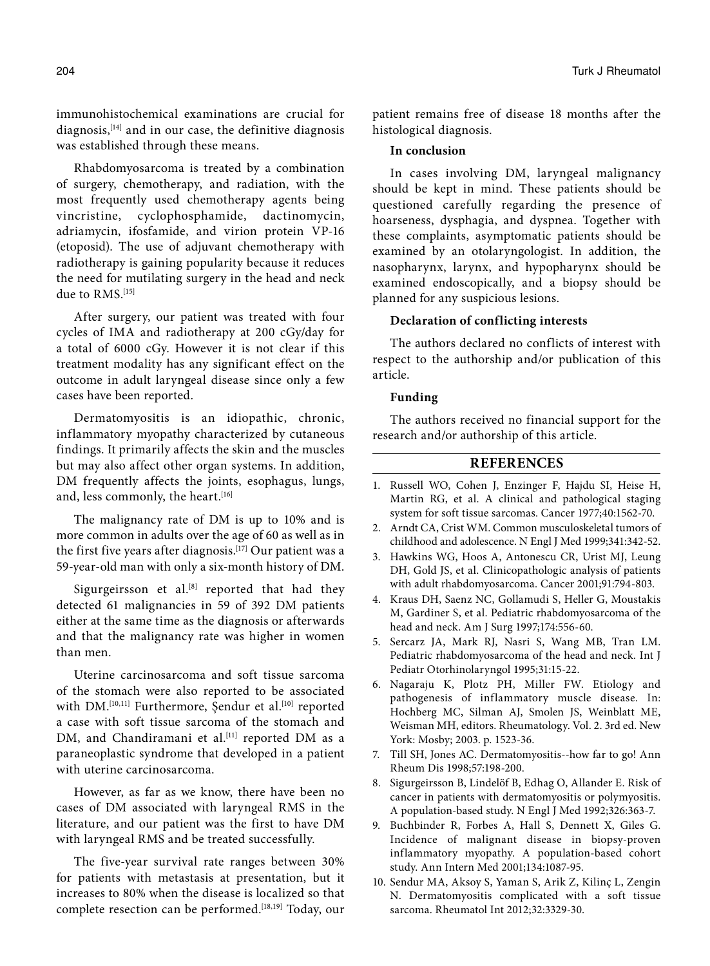immunohistochemical examinations are crucial for diagnosis,  $[14]$  and in our case, the definitive diagnosis was established through these means.

Rhabdomyosarcoma is treated by a combination of surgery, chemotherapy, and radiation, with the most frequently used chemotherapy agents being vincristine, cyclophosphamide, dactinomycin, adriamycin, ifosfamide, and virion protein VP-16 (etoposid). The use of adjuvant chemotherapy with radiotherapy is gaining popularity because it reduces the need for mutilating surgery in the head and neck due to  $RMS$ <sup>[15]</sup>

After surgery, our patient was treated with four cycles of IMA and radiotherapy at 200 cGy/day for a total of 6000 cGy. However it is not clear if this treatment modality has any significant effect on the outcome in adult laryngeal disease since only a few cases have been reported.

Dermatomyositis is an idiopathic, chronic, inflammatory myopathy characterized by cutaneous findings. It primarily affects the skin and the muscles but may also affect other organ systems. In addition, DM frequently affects the joints, esophagus, lungs, and, less commonly, the heart.<sup>[16]</sup>

The malignancy rate of DM is up to 10% and is more common in adults over the age of 60 as well as in the first five years after diagnosis.[17] Our patient was a 59-year-old man with only a six-month history of DM.

Sigurgeirsson et al. $[8]$  reported that had they detected 61 malignancies in 59 of 392 DM patients either at the same time as the diagnosis or afterwards and that the malignancy rate was higher in women than men.

Uterine carcinosarcoma and soft tissue sarcoma of the stomach were also reported to be associated with DM.<sup>[10,11]</sup> Furthermore, Şendur et al.<sup>[10]</sup> reported a case with soft tissue sarcoma of the stomach and DM, and Chandiramani et al.<sup>[11]</sup> reported DM as a paraneoplastic syndrome that developed in a patient with uterine carcinosarcoma.

However, as far as we know, there have been no cases of DM associated with laryngeal RMS in the literature, and our patient was the first to have DM with laryngeal RMS and be treated successfully.

The five-year survival rate ranges between 30% for patients with metastasis at presentation, but it increases to 80% when the disease is localized so that complete resection can be performed.<sup>[18,19]</sup> Today, our patient remains free of disease 18 months after the histological diagnosis.

#### **In conclusion**

In cases involving DM, laryngeal malignancy should be kept in mind. These patients should be questioned carefully regarding the presence of hoarseness, dysphagia, and dyspnea. Together with these complaints, asymptomatic patients should be examined by an otolaryngologist. In addition, the nasopharynx, larynx, and hypopharynx should be examined endoscopically, and a biopsy should be planned for any suspicious lesions.

## **Declaration of conflicting interests**

The authors declared no conflicts of interest with respect to the authorship and/or publication of this article.

## **Funding**

The authors received no financial support for the research and/or authorship of this article.

## **REFERENCES**

- 1. Russell WO, Cohen J, Enzinger F, Hajdu SI, Heise H, Martin RG, et al. A clinical and pathological staging system for soft tissue sarcomas. Cancer 1977;40:1562-70.
- 2. Arndt CA, Crist WM. Common musculoskeletal tumors of childhood and adolescence. N Engl J Med 1999;341:342-52.
- 3. Hawkins WG, Hoos A, Antonescu CR, Urist MJ, Leung DH, Gold JS, et al. Clinicopathologic analysis of patients with adult rhabdomyosarcoma. Cancer 2001;91:794-803.
- 4. Kraus DH, Saenz NC, Gollamudi S, Heller G, Moustakis M, Gardiner S, et al. Pediatric rhabdomyosarcoma of the head and neck. Am J Surg 1997;174:556-60.
- 5. Sercarz JA, Mark RJ, Nasri S, Wang MB, Tran LM. Pediatric rhabdomyosarcoma of the head and neck. Int J Pediatr Otorhinolaryngol 1995;31:15-22.
- 6. Nagaraju K, Plotz PH, Miller FW. Etiology and pathogenesis of inflammatory muscle disease. In: Hochberg MC, Silman AJ, Smolen JS, Weinblatt ME, Weisman MH, editors. Rheumatology. Vol. 2. 3rd ed. New York: Mosby; 2003. p. 1523-36.
- 7. Till SH, Jones AC. Dermatomyositis--how far to go! Ann Rheum Dis 1998;57:198-200.
- 8. Sigurgeirsson B, Lindelöf B, Edhag O, Allander E. Risk of cancer in patients with dermatomyositis or polymyositis. A population-based study. N Engl J Med 1992;326:363-7.
- 9. Buchbinder R, Forbes A, Hall S, Dennett X, Giles G. Incidence of malignant disease in biopsy-proven inflammatory myopathy. A population-based cohort study. Ann Intern Med 2001;134:1087-95.
- 10. Sendur MA, Aksoy S, Yaman S, Arik Z, Kilinç L, Zengin N. Dermatomyositis complicated with a soft tissue sarcoma. Rheumatol Int 2012;32:3329-30.